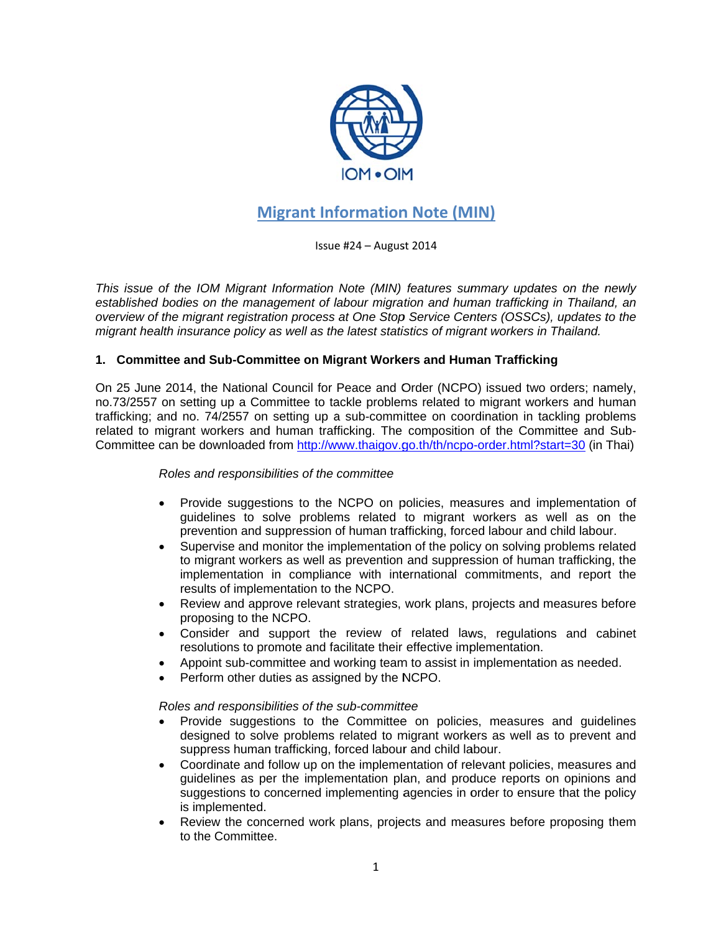

# **Migrant Information Note (MIN)**

Issue #24 - August 2014

This issue of the IOM Migrant Information Note (MIN) features summary updates on the newly established bodies on the management of labour migration and human trafficking in Thailand, an overview of the migrant registration process at One Stop Service Centers (OSSCs), updates to the migrant health insurance policy as well as the latest statistics of migrant workers in Thailand.

# 1. Committee and Sub-Committee on Migrant Workers and Human Trafficking

On 25 June 2014, the National Council for Peace and Order (NCPO) issued two orders; namely, no.73/2557 on setting up a Committee to tackle problems related to migrant workers and human trafficking: and no. 74/2557 on setting up a sub-committee on coordination in tackling problems related to migrant workers and human trafficking. The composition of the Committee and Sub-Committee can be downloaded from http://www.thaigov.go.th/th/ncpo-order.html?start=30 (in Thai)

#### Roles and responsibilities of the committee

- $\bullet$ Provide suggestions to the NCPO on policies, measures and implementation of guidelines to solve problems related to migrant workers as well as on the prevention and suppression of human trafficking, forced labour and child labour.
- Supervise and monitor the implementation of the policy on solving problems related  $\bullet$ to migrant workers as well as prevention and suppression of human trafficking, the implementation in compliance with international commitments, and report the results of implementation to the NCPO.
- Review and approve relevant strategies, work plans, projects and measures before  $\bullet$ proposing to the NCPO.
- Consider and support the review of related laws, regulations and cabinet resolutions to promote and facilitate their effective implementation.
- Appoint sub-committee and working team to assist in implementation as needed.
- Perform other duties as assigned by the NCPO.

#### Roles and responsibilities of the sub-committee

- Provide suggestions to the Committee on policies, measures and guidelines designed to solve problems related to migrant workers as well as to prevent and suppress human trafficking, forced labour and child labour.
- $\bullet$ Coordinate and follow up on the implementation of relevant policies, measures and quidelines as per the implementation plan, and produce reports on opinions and suggestions to concerned implementing agencies in order to ensure that the policy is implemented.
- Review the concerned work plans, projects and measures before proposing them  $\bullet$ to the Committee.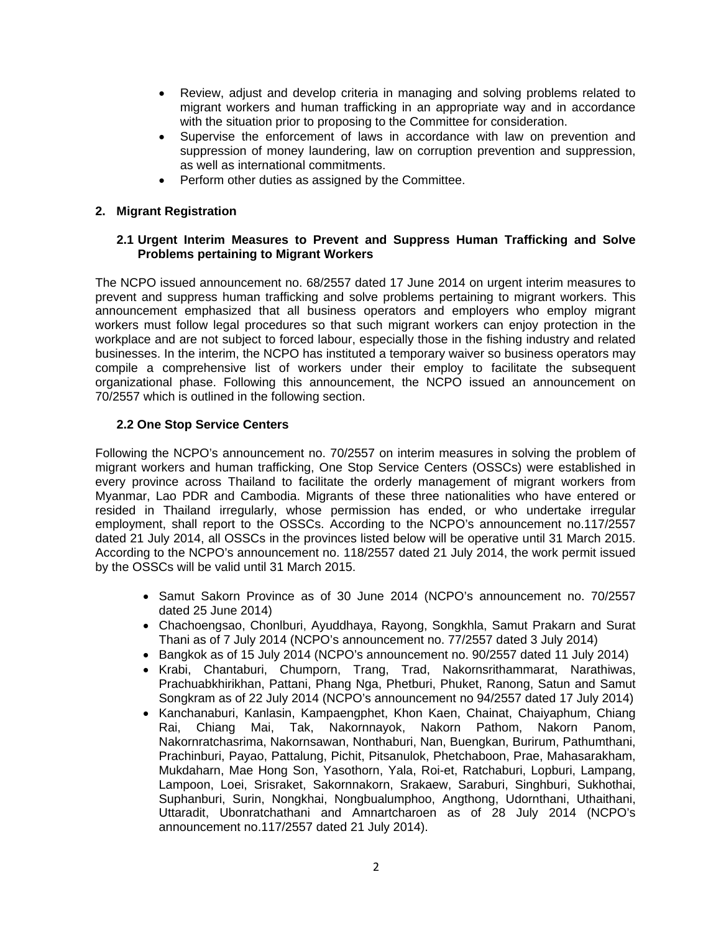- Review, adjust and develop criteria in managing and solving problems related to migrant workers and human trafficking in an appropriate way and in accordance with the situation prior to proposing to the Committee for consideration.
- Supervise the enforcement of laws in accordance with law on prevention and suppression of money laundering, law on corruption prevention and suppression, as well as international commitments.
- Perform other duties as assigned by the Committee.

# **2. Migrant Registration**

#### **2.1 Urgent Interim Measures to Prevent and Suppress Human Trafficking and Solve Problems pertaining to Migrant Workers**

The NCPO issued announcement no. 68/2557 dated 17 June 2014 on urgent interim measures to prevent and suppress human trafficking and solve problems pertaining to migrant workers. This announcement emphasized that all business operators and employers who employ migrant workers must follow legal procedures so that such migrant workers can enjoy protection in the workplace and are not subject to forced labour, especially those in the fishing industry and related businesses. In the interim, the NCPO has instituted a temporary waiver so business operators may compile a comprehensive list of workers under their employ to facilitate the subsequent organizational phase. Following this announcement, the NCPO issued an announcement on 70/2557 which is outlined in the following section.

#### **2.2 One Stop Service Centers**

Following the NCPO's announcement no. 70/2557 on interim measures in solving the problem of migrant workers and human trafficking, One Stop Service Centers (OSSCs) were established in every province across Thailand to facilitate the orderly management of migrant workers from Myanmar, Lao PDR and Cambodia. Migrants of these three nationalities who have entered or resided in Thailand irregularly, whose permission has ended, or who undertake irregular employment, shall report to the OSSCs. According to the NCPO's announcement no.117/2557 dated 21 July 2014, all OSSCs in the provinces listed below will be operative until 31 March 2015. According to the NCPO's announcement no. 118/2557 dated 21 July 2014, the work permit issued by the OSSCs will be valid until 31 March 2015.

- Samut Sakorn Province as of 30 June 2014 (NCPO's announcement no. 70/2557 dated 25 June 2014)
- Chachoengsao, Chonlburi, Ayuddhaya, Rayong, Songkhla, Samut Prakarn and Surat Thani as of 7 July 2014 (NCPO's announcement no. 77/2557 dated 3 July 2014)
- Bangkok as of 15 July 2014 (NCPO's announcement no. 90/2557 dated 11 July 2014)
- Krabi, Chantaburi, Chumporn, Trang, Trad, Nakornsrithammarat, Narathiwas, Prachuabkhirikhan, Pattani, Phang Nga, Phetburi, Phuket, Ranong, Satun and Samut Songkram as of 22 July 2014 (NCPO's announcement no 94/2557 dated 17 July 2014)
- Kanchanaburi, Kanlasin, Kampaengphet, Khon Kaen, Chainat, Chaiyaphum, Chiang Rai, Chiang Mai, Tak, Nakornnayok, Nakorn Pathom, Nakorn Panom, Nakornratchasrima, Nakornsawan, Nonthaburi, Nan, Buengkan, Burirum, Pathumthani, Prachinburi, Payao, Pattalung, Pichit, Pitsanulok, Phetchaboon, Prae, Mahasarakham, Mukdaharn, Mae Hong Son, Yasothorn, Yala, Roi-et, Ratchaburi, Lopburi, Lampang, Lampoon, Loei, Srisraket, Sakornnakorn, Srakaew, Saraburi, Singhburi, Sukhothai, Suphanburi, Surin, Nongkhai, Nongbualumphoo, Angthong, Udornthani, Uthaithani, Uttaradit, Ubonratchathani and Amnartcharoen as of 28 July 2014 (NCPO's announcement no.117/2557 dated 21 July 2014).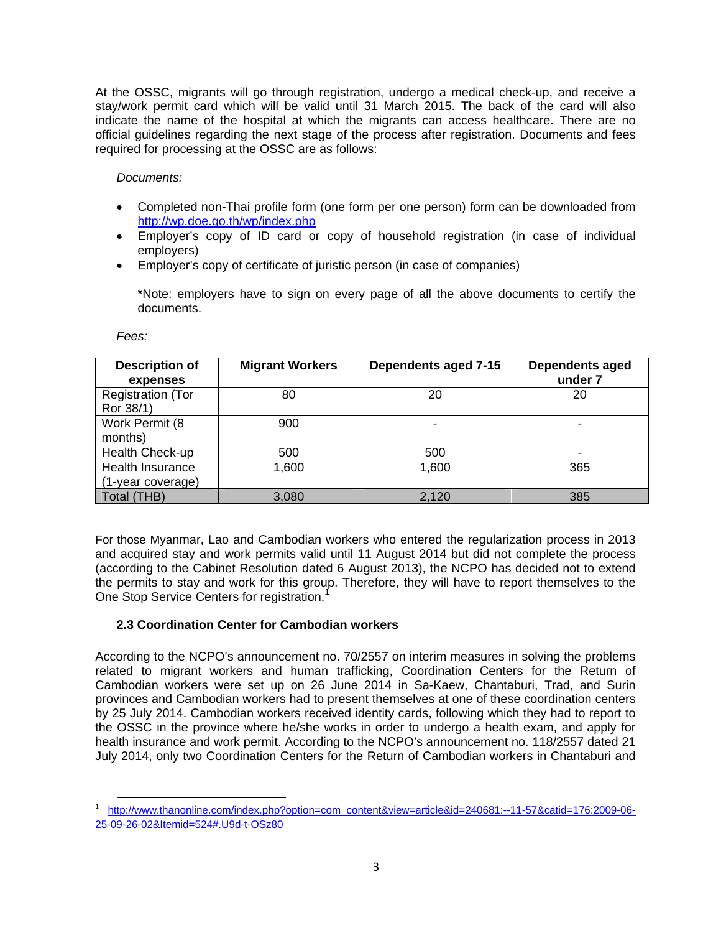At the OSSC, migrants will go through registration, undergo a medical check-up, and receive a stay/work permit card which will be valid until 31 March 2015. The back of the card will also indicate the name of the hospital at which the migrants can access healthcare. There are no official guidelines regarding the next stage of the process after registration. Documents and fees required for processing at the OSSC are as follows:

*Documents:* 

- Completed non-Thai profile form (one form per one person) form can be downloaded from http://wp.doe.go.th/wp/index.php
- Employer's copy of ID card or copy of household registration (in case of individual employers)
- Employer's copy of certificate of juristic person (in case of companies)

\*Note: employers have to sign on every page of all the above documents to certify the documents.

*Fees:* 

| <b>Description of</b><br>expenses            | <b>Migrant Workers</b> | Dependents aged 7-15 | <b>Dependents aged</b><br>under 7 |
|----------------------------------------------|------------------------|----------------------|-----------------------------------|
| <b>Registration (Tor</b><br>Ror 38/1)        | 80                     | 20                   | 20                                |
| Work Permit (8<br>months)                    | 900                    |                      |                                   |
| Health Check-up                              | 500                    | 500                  | $\overline{\phantom{a}}$          |
| <b>Health Insurance</b><br>(1-year coverage) | 1,600                  | 1,600                | 365                               |
| Total (THB)                                  | 3,080                  | 2,120                | 385                               |

For those Myanmar, Lao and Cambodian workers who entered the regularization process in 2013 and acquired stay and work permits valid until 11 August 2014 but did not complete the process (according to the Cabinet Resolution dated 6 August 2013), the NCPO has decided not to extend the permits to stay and work for this group. Therefore, they will have to report themselves to the One Stop Service Centers for registration.<sup>1</sup>

#### **2.3 Coordination Center for Cambodian workers**

According to the NCPO's announcement no. 70/2557 on interim measures in solving the problems related to migrant workers and human trafficking, Coordination Centers for the Return of Cambodian workers were set up on 26 June 2014 in Sa-Kaew, Chantaburi, Trad, and Surin provinces and Cambodian workers had to present themselves at one of these coordination centers by 25 July 2014. Cambodian workers received identity cards, following which they had to report to the OSSC in the province where he/she works in order to undergo a health exam, and apply for health insurance and work permit. According to the NCPO's announcement no. 118/2557 dated 21 July 2014, only two Coordination Centers for the Return of Cambodian workers in Chantaburi and

 <sup>1</sup> http://www.thanonline.com/index.php?option=com\_content&view=article&id=240681:--11-57&catid=176:2009-06- 25-09-26-02&Itemid=524#.U9d-t-OSz80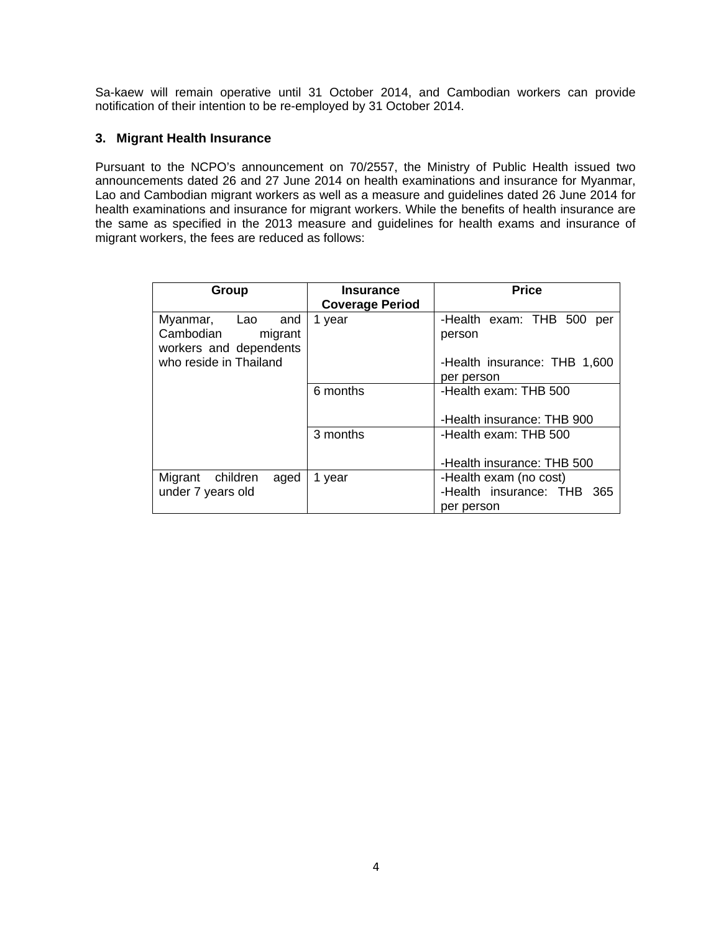Sa-kaew will remain operative until 31 October 2014, and Cambodian workers can provide notification of their intention to be re-employed by 31 October 2014.

## **3. Migrant Health Insurance**

Pursuant to the NCPO's announcement on 70/2557, the Ministry of Public Health issued two announcements dated 26 and 27 June 2014 on health examinations and insurance for Myanmar, Lao and Cambodian migrant workers as well as a measure and guidelines dated 26 June 2014 for health examinations and insurance for migrant workers. While the benefits of health insurance are the same as specified in the 2013 measure and guidelines for health exams and insurance of migrant workers, the fees are reduced as follows:

| Group                                                                    | <b>Insurance</b><br><b>Coverage Period</b> | <b>Price</b>                                                                      |
|--------------------------------------------------------------------------|--------------------------------------------|-----------------------------------------------------------------------------------|
| Myanmar,<br>Lao<br>and<br>Cambodian<br>migrant<br>workers and dependents | 1 year                                     | -Health exam: THB 500<br>per<br>person                                            |
| who reside in Thailand                                                   |                                            | -Health insurance: THB 1,600<br>per person                                        |
|                                                                          | 6 months                                   | -Health exam: THB 500                                                             |
|                                                                          | 3 months                                   | -Health insurance: THB 900<br>-Health exam: THB 500<br>-Health insurance: THB 500 |
| Migrant children<br>aged<br>under 7 years old                            | 1 year                                     | -Health exam (no cost)<br>-Health insurance: THB 365<br>per person                |